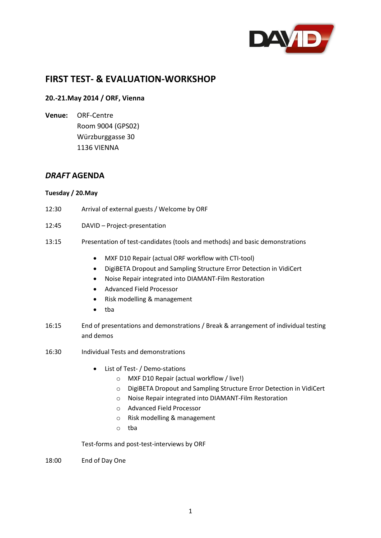

# **FIRST TEST- & EVALUATION-WORKSHOP**

## **20.-21.May 2014 / ORF, Vienna**

**Venue:** ORF-Centre Room 9004 (GPS02) Würzburggasse 30 1136 VIENNA

# *DRAFT* **AGENDA**

#### **Tuesday / 20.May**

- 12:30 Arrival of external guests / Welcome by ORF
- 12:45 DAVID Project-presentation
- 13:15 Presentation of test-candidates (tools and methods) and basic demonstrations
	- MXF D10 Repair (actual ORF workflow with CTI-tool)
	- DigiBETA Dropout and Sampling Structure Error Detection in VidiCert
	- Noise Repair integrated into DIAMANT-Film Restoration
	- Advanced Field Processor
	- Risk modelling & management
	- tba
- 16:15 End of presentations and demonstrations / Break & arrangement of individual testing and demos
- 16:30 Individual Tests and demonstrations
	- List of Test- / Demo-stations
		- o MXF D10 Repair (actual workflow / live!)
		- o DigiBETA Dropout and Sampling Structure Error Detection in VidiCert
		- o Noise Repair integrated into DIAMANT-Film Restoration
		- o Advanced Field Processor
		- o Risk modelling & management
		- o tba

Test-forms and post-test-interviews by ORF

18:00 End of Day One